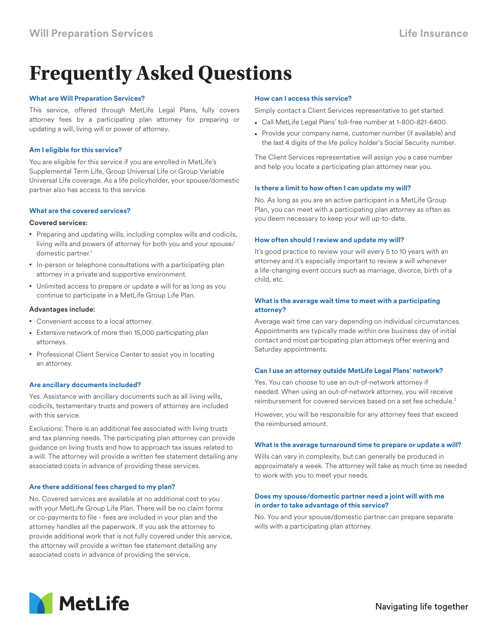# **Frequently Asked Questions**

#### **What are Will Preparation Services?**

This service, offered through MetLife Legal Plans, fully covers attorney fees by a participating plan attorney for preparing or updating a will, living will or power of attorney.

#### **Am I eligible for this service?**

You are eligible for this service if you are enrolled in MetLife's Supplemental Term Life, Group Universal Life or Group Variable Universal Life coverage. As a life policyholder, your spouse/domestic partner also has access to this service.

#### **What are the covered services?**

#### Covered services:

- Preparing and updating wills, including complex wills and codicils, living wills and powers of attorney for both you and your spouse/ domestic partner.<sup>1</sup>
- In-person or telephone consultations with a participating plan attorney in a private and supportive environment.
- Unlimited access to prepare or update a will for as long as you continue to participate in a MetLife Group Life Plan.

#### Advantages include:

- Convenient access to a local attorney.
- Extensive network of more than 15,000 participating plan attorneys.
- Professional Client Service Center to assist you in locating an attorney.

# **Are ancillary documents included?**

Yes. Assistance with ancillary documents such as all living wills, codicils, testamentary trusts and powers of attorney are included with this service.

Exclusions: There is an additional fee associated with living trusts and tax planning needs. The participating plan attorney can provide guidance on living trusts and how to approach tax issues related to a will. The attorney will provide a written fee statement detailing any associated costs in advance of providing these services.

# **Are there additional fees charged to my plan?**

No. Covered services are available at no additional cost to you with your MetLife Group Life Plan. There will be no claim forms or co-payments to file - fees are included in your plan and the attorney handles all the paperwork. If you ask the attorney to provide additional work that is not fully covered under this service, the attorney will provide a written fee statement detailing any associated costs in advance of providing the service.

# **How can I access this service?**

Simply contact a Client Services representative to get started.

- Call MetLife Legal Plans' toll-free number at 1-800-821-6400.
- Provide your company name, customer number (if available) and the last 4 digits of the life policy holder's Social Security number.

The Client Services representative will assign you a case number and help you locate a participating plan attorney near you.

# **Is there a limit to how often I can update my will?**

No. As long as you are an active participant in a MetLife Group Plan, you can meet with a participating plan attorney as often as you deem necessary to keep your will up-to-date.

# **How often should I review and update my will?**

It's good practice to review your will every 5 to 10 years with an attorney and it's especially important to review a will whenever a life-changing event occurs such as marriage, divorce, birth of a child, etc.

# **What is the average wait time to meet with a participating attorney?**

Average wait time can vary depending on individual circumstances. Appointments are typically made within one business day of initial contact and most participating plan attorneys offer evening and Saturday appointments.

#### **Can I use an attorney outside MetLife Legal Plans' network?**

Yes. You can choose to use an out-of-network attorney if needed. When using an out-of-network attorney, you will receive reimbursement for covered services based on a set fee schedule.<sup>2</sup>

However, you will be responsible for any attorney fees that exceed the reimbursed amount.

#### **What is the average turnaround time to prepare or update a will?**

Wills can vary in complexity, but can generally be produced in approximately a week. The attorney will take as much time as needed to work with you to meet your needs.

# **Does my spouse/domestic partner need a joint will with me in order to take advantage of this service?**

No. You and your spouse/domestic partner can prepare separate wills with a participating plan attorney.